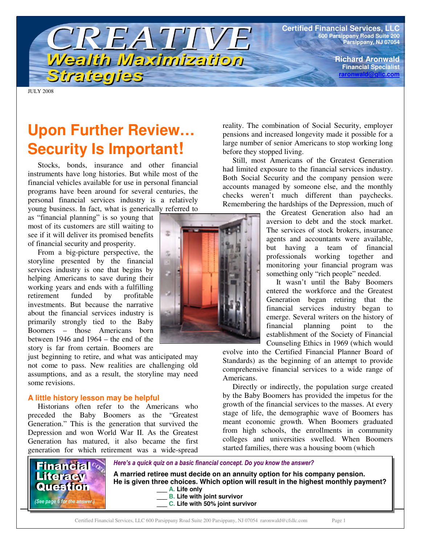**Certified Financial Services, LLC 600 Parsippany Road Suite 200 Parsippany, NJ 07054**

> **Richard Aronwald Financial Specialist raronwald@glic.com**

JULY 2008

# **Upon Further Review… Security Is Important!**

Strategies

CREATIVE

Wealth Maximization

Stocks, bonds, insurance and other financial instruments have long histories. But while most of the financial vehicles available for use in personal financial programs have been around for several centuries, the personal financial services industry is a relatively young business. In fact, what is generically referred to

as "financial planning" is so young that most of its customers are still waiting to see if it will deliver its promised benefits of financial security and prosperity.

From a big-picture perspective, the storyline presented by the financial services industry is one that begins by helping Americans to save during their working years and ends with a fulfilling retirement funded by profitable investments. But because the narrative about the financial services industry is primarily strongly tied to the Baby Boomers – those Americans born between 1946 and 1964 – the end of the story is far from certain. Boomers are

just beginning to retire, and what was anticipated may not come to pass. New realities are challenging old assumptions, and as a result, the storyline may need some revisions.

#### **A little history lesson may be helpful**

Historians often refer to the Americans who preceded the Baby Boomers as the "Greatest Generation." This is the generation that survived the Depression and won World War II. As the Greatest Generation has matured, it also became the first generation for which retirement was a wide-spread



reality. The combination of Social Security, employer pensions and increased longevity made it possible for a large number of senior Americans to stop working long before they stopped living.

Still, most Americans of the Greatest Generation had limited exposure to the financial services industry. Both Social Security and the company pension were accounts managed by someone else, and the monthly checks weren't much different than paychecks. Remembering the hardships of the Depression, much of

> the Greatest Generation also had an aversion to debt and the stock market. The services of stock brokers, insurance agents and accountants were available, but having a team of financial professionals working together and monitoring your financial program was something only "rich people" needed.

> It wasn't until the Baby Boomers entered the workforce and the Greatest Generation began retiring that the financial services industry began to emerge. Several writers on the history of financial planning point to the establishment of the Society of Financial Counseling Ethics in 1969 (which would

evolve into the Certified Financial Planner Board of Standards) as the beginning of an attempt to provide comprehensive financial services to a wide range of Americans.

Directly or indirectly, the population surge created by the Baby Boomers has provided the impetus for the growth of the financial services to the masses. At every stage of life, the demographic wave of Boomers has meant economic growth. When Boomers graduated from high schools, the enrollments in community colleges and universities swelled. When Boomers started families, there was a housing boom (which

Here's a quick quiz on a basic financial concept. Do you know the answer? **A married retiree must decide on an annuity option for his company pension. He is given three choices. Which option will result in the highest monthly payment? \_\_\_ A. Life only \_\_\_ B. Life with joint survivor \_\_\_ C. Life with 50% joint survivor Financial** Literacy Question (See page 6 for the answer.)

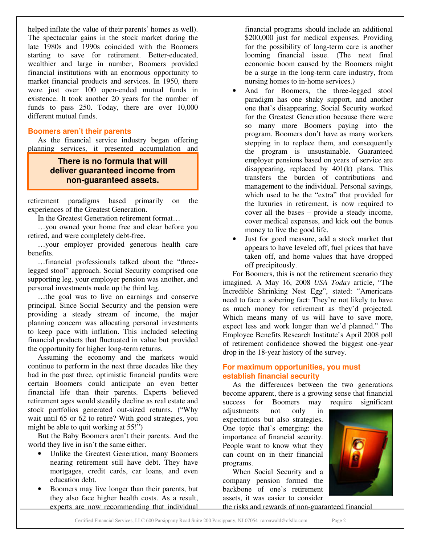helped inflate the value of their parents' homes as well). The spectacular gains in the stock market during the late 1980s and 1990s coincided with the Boomers starting to save for retirement. Better-educated, wealthier and large in number, Boomers provided financial institutions with an enormous opportunity to market financial products and services. In 1950, there were just over 100 open-ended mutual funds in existence. It took another 20 years for the number of funds to pass 250. Today, there are over 10,000 different mutual funds.

## **Boomers aren't their parents**

As the financial service industry began offering planning services, it presented accumulation and

## **There is no formula that will deliver guaranteed income from non-guaranteed assets.**

retirement paradigms based primarily on the experiences of the Greatest Generation.

In the Greatest Generation retirement format…

…you owned your home free and clear before you retired, and were completely debt-free.

…your employer provided generous health care benefits.

…financial professionals talked about the "threelegged stool" approach. Social Security comprised one supporting leg, your employer pension was another, and personal investments made up the third leg.

…the goal was to live on earnings and conserve principal. Since Social Security and the pension were providing a steady stream of income, the major planning concern was allocating personal investments to keep pace with inflation. This included selecting financial products that fluctuated in value but provided the opportunity for higher long-term returns.

Assuming the economy and the markets would continue to perform in the next three decades like they had in the past three, optimistic financial pundits were certain Boomers could anticipate an even better financial life than their parents. Experts believed retirement ages would steadily decline as real estate and stock portfolios generated out-sized returns. ("Why wait until 65 or 62 to retire? With good strategies, you might be able to quit working at 55!")

But the Baby Boomers aren't their parents. And the world they live in isn't the same either.

- Unlike the Greatest Generation, many Boomers nearing retirement still have debt. They have mortgages, credit cards, car loans, and even education debt.
- Boomers may live longer than their parents, but they also face higher health costs. As a result, experts are now recommending that individual

financial programs should include an additional \$200,000 just for medical expenses. Providing for the possibility of long-term care is another looming financial issue. (The next final economic boom caused by the Boomers might be a surge in the long-term care industry, from nursing homes to in-home services.)

- And for Boomers, the three-legged stool paradigm has one shaky support, and another one that's disappearing. Social Security worked for the Greatest Generation because there were so many more Boomers paying into the program. Boomers don't have as many workers stepping in to replace them, and consequently the program is unsustainable. Guaranteed employer pensions based on years of service are disappearing, replaced by 401(k) plans. This transfers the burden of contributions and management to the individual. Personal savings, which used to be the "extra" that provided for the luxuries in retirement, is now required to cover all the bases – provide a steady income, cover medical expenses, and kick out the bonus money to live the good life.
- Just for good measure, add a stock market that appears to have leveled off, fuel prices that have taken off, and home values that have dropped off precipitously.

For Boomers, this is not the retirement scenario they imagined. A May 16, 2008 *USA Today* article, "The Incredible Shrinking Nest Egg", stated: "Americans need to face a sobering fact: They're not likely to have as much money for retirement as they'd projected. Which means many of us will have to save more, expect less and work longer than we'd planned." The Employee Benefits Research Institute's April 2008 poll of retirement confidence showed the biggest one-year drop in the 18-year history of the survey.

## **For maximum opportunities, you must establish financial security**

As the differences between the two generations become apparent, there is a growing sense that financial success for Boomers may require significant

adjustments not only in expectations but also strategies. One topic that's emerging: the importance of financial security. People want to know what they can count on in their financial programs.

When Social Security and a company pension formed the backbone of one's retirement assets, it was easier to consider



the risks and rewards of non-guaranteed financial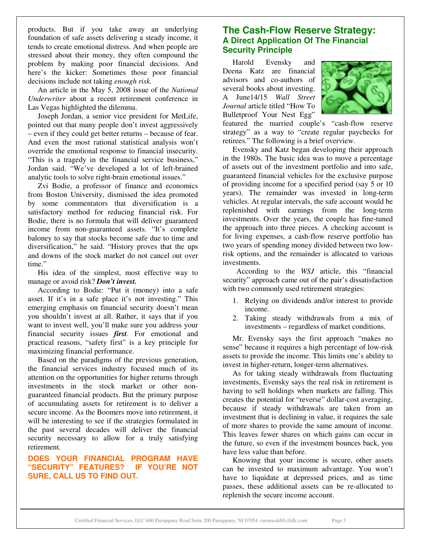products. But if you take away an underlying foundation of safe assets delivering a steady income, it tends to create emotional distress. And when people are stressed about their money, they often compound the problem by making poor financial decisions. And here's the kicker: Sometimes those poor financial decisions include not taking *enough risk.*

An article in the May 5, 2008 issue of the *National Underwriter* about a recent retirement conference in Las Vegas highlighted the dilemma.

Joseph Jordan, a senior vice president for MetLife, pointed out that many people don't invest aggressively – even if they could get better returns – because of fear. And even the most rational statistical analysis won't override the emotional response to financial insecurity. "This is a tragedy in the financial service business," Jordan said. "We've developed a lot of left-brained analytic tools to solve right-brain emotional issues."

Zvi Bodie, a professor of finance and economics from Boston University, dismissed the idea promoted by some commentators that diversification is a satisfactory method for reducing financial risk. For Bodie, there is no formula that will deliver guaranteed income from non-guaranteed assets. "It's complete baloney to say that stocks become safe due to time and diversification," he said. "History proves that the ups and downs of the stock market do not cancel out over time."

His idea of the simplest, most effective way to manage or avoid risk? *Don't invest.*

According to Bodie: "Put it (money) into a safe asset. If it's in a safe place it's not investing." This emerging emphasis on financial security doesn't mean you shouldn't invest at all. Rather, it says that if you want to invest well, you'll make sure you address your financial security issues *first*. For emotional and practical reasons, "safety first" is a key principle for maximizing financial performance.

Based on the paradigms of the previous generation, the financial services industry focused much of its attention on the opportunities for higher returns through investments in the stock market or other nonguaranteed financial products. But the primary purpose of accumulating assets for retirement is to deliver a secure income. As the Boomers move into retirement, it will be interesting to see if the strategies formulated in the past several decades will deliver the financial security necessary to allow for a truly satisfying retirement.

## **DOES YOUR FINANCIAL PROGRAM HAVE "SECURITY" FEATURES? IF YOU'RE NOT SURE, CALL US TO FIND OUT.**

# **The Cash-Flow Reserve Strategy: A Direct Application Of The Financial Security Principle**

Harold Evensky and Deena Katz are financial advisors and co-authors of several books about investing. A June14/15 *Wall Street Journal* article titled "How To Bulletproof Your Nest Egg"



featured the married couple's "cash-flow reserve strategy" as a way to "create regular paychecks for retirees." The following is a brief overview.

Evensky and Katz began developing their approach in the 1980s. The basic idea was to move a percentage of assets out of the investment portfolio and into safe, guaranteed financial vehicles for the exclusive purpose of providing income for a specified period (say 5 or 10 years). The remainder was invested in long-term vehicles. At regular intervals, the safe account would be replenished with earnings from the long-term investments. Over the years, the couple has fine-tuned the approach into three pieces. A checking account is for living expenses, a cash-flow reserve portfolio has two years of spending money divided between two lowrisk options, and the remainder is allocated to various investments.

According to the *WSJ* article, this "financial security" approach came out of the pair's dissatisfaction with two commonly used retirement strategies:

- 1. Relying on dividends and/or interest to provide income.
- 2. Taking steady withdrawals from a mix of investments – regardless of market conditions.

Mr. Evensky says the first approach "makes no sense" because it requires a high percentage of low-risk assets to provide the income. This limits one's ability to invest in higher-return, longer-term alternatives.

As for taking steady withdrawals from fluctuating investments, Evensky says the real risk in retirement is having to sell holdings when markets are falling. This creates the potential for "reverse" dollar-cost averaging, because if steady withdrawals are taken from an investment that is declining in value, it requires the sale of more shares to provide the same amount of income. This leaves fewer shares on which gains can occur in the future, so even if the investment bounces back, you have less value than before.

Knowing that your income is secure, other assets can be invested to maximum advantage. You won't have to liquidate at depressed prices, and as time passes, these additional assets can be re-allocated to replenish the secure income account.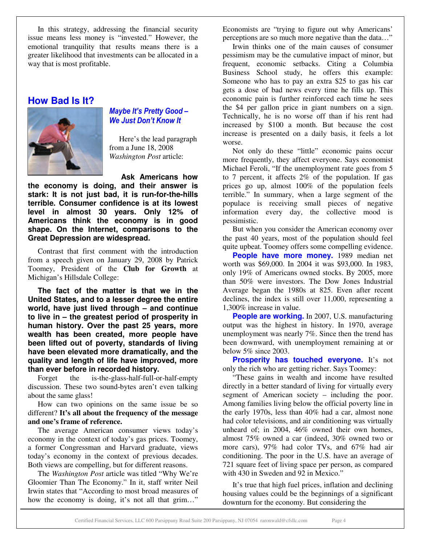In this strategy, addressing the financial security issue means less money is "invested." However, the emotional tranquility that results means there is a greater likelihood that investments can be allocated in a way that is most profitable.

## **How Bad Is It?**



## Maybe It's Pretty Good -We Just Don't Know It

Here's the lead paragraph from a June 18, 2008 *Washington Post* article:

**Ask Americans how**

**the economy is doing, and their answer is stark: It is not just bad, it is run-for-the-hills terrible. Consumer confidence is at its lowest level in almost 30 years. Only 12% of Americans think the economy is in good shape. On the Internet, comparisons to the Great Depression are widespread.**

Contrast that first comment with the introduction from a speech given on January 29, 2008 by Patrick Toomey, President of the **Club for Growth** at Michigan's Hillsdale College:

**The fact of the matter is that we in the United States, and to a lesser degree the entire world, have just lived through – and continue to live in – the greatest period of prosperity in human history. Over the past 25 years, more wealth has been created, more people have been lifted out of poverty, standards of living have been elevated more dramatically, and the quality and length of life have improved, more than ever before in recorded history.**

Forget the is-the-glass-half-full-or-half-empty discussion. These two sound-bytes aren't even talking about the same glass!

How can two opinions on the same issue be so different? **It's all about the frequency of the message and one's frame of reference.**

The average American consumer views today's economy in the context of today's gas prices. Toomey, a former Congressman and Harvard graduate, views today's economy in the context of previous decades. Both views are compelling, but for different reasons.

The *Washington Post* article was titled "Why We're Gloomier Than The Economy." In it, staff writer Neil Irwin states that "According to most broad measures of how the economy is doing, it's not all that grim..."

Economists are "trying to figure out why Americans' perceptions are so much more negative than the data…"

Irwin thinks one of the main causes of consumer pessimism may be the cumulative impact of minor, but frequent, economic setbacks. Citing a Columbia Business School study, he offers this example: Someone who has to pay an extra \$25 to gas his car gets a dose of bad news every time he fills up. This economic pain is further reinforced each time he sees the \$4 per gallon price in giant numbers on a sign. Technically, he is no worse off than if his rent had increased by \$100 a month. But because the cost increase is presented on a daily basis, it feels a lot worse.

Not only do these "little" economic pains occur more frequently, they affect everyone. Says economist Michael Feroli, "If the unemployment rate goes from 5 to 7 percent, it affects 2% of the population. If gas prices go up, almost 100% of the population feels terrible." In summary, when a large segment of the populace is receiving small pieces of negative information every day, the collective mood is pessimistic.

But when you consider the American economy over the past 40 years, most of the population should feel quite upbeat. Toomey offers some compelling evidence.

**People have more money.** 1989 median net worth was \$69,000. In 2004 it was \$93,000. In 1983, only 19% of Americans owned stocks. By 2005, more than 50% were investors. The Dow Jones Industrial Average began the 1980s at 825. Even after recent declines, the index is still over 11,000, representing a 1,300% increase in value.

**People are working.** In 2007, U.S. manufacturing output was the highest in history. In 1970, average unemployment was nearly 7%. Since then the trend has been downward, with unemployment remaining at or below 5% since 2003.

**Prosperity has touched everyone.** It's not only the rich who are getting richer. Says Toomey:

"These gains in wealth and income have resulted directly in a better standard of living for virtually every segment of American society – including the poor. Among families living below the official poverty line in the early 1970s, less than 40% had a car, almost none had color televisions, and air conditioning was virtually unheard of; in 2004, 46% owned their own homes, almost 75% owned a car (indeed, 30% owned two or more cars), 97% had color TVs, and 67% had air conditioning. The poor in the U.S. have an average of 721 square feet of living space per person, as compared with 430 in Sweden and 92 in Mexico."

It's true that high fuel prices, inflation and declining housing values could be the beginnings of a significant downturn for the economy. But considering the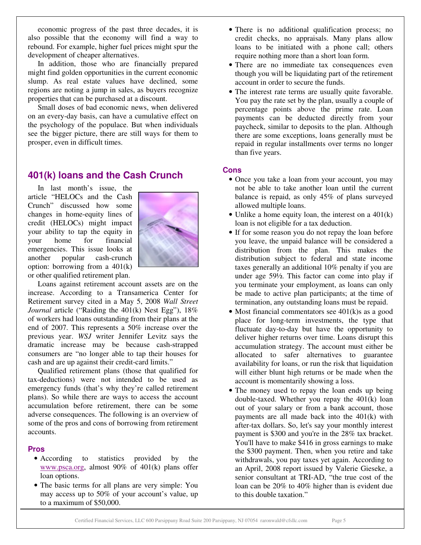economic progress of the past three decades, it is also possible that the economy will find a way to rebound. For example, higher fuel prices might spur the development of cheaper alternatives.

In addition, those who are financially prepared might find golden opportunities in the current economic slump. As real estate values have declined, some regions are noting a jump in sales, as buyers recognize properties that can be purchased at a discount.

Small doses of bad economic news, when delivered on an every-day basis, can have a cumulative effect on the psychology of the populace. But when individuals see the bigger picture, there are still ways for them to prosper, even in difficult times.

# **401(k) loans and the Cash Crunch**

In last month's issue, the article "HELOCs and the Cash Crunch" discussed how some changes in home-equity lines of credit (HELOCs) might impact your ability to tap the equity in your home for financial emergencies. This issue looks at another popular cash-crunch option: borrowing from a 401(k) or other qualified retirement plan.



Loans against retirement account assets are on the increase. According to a Transamerica Center for Retirement survey cited in a May 5, 2008 *Wall Street Journal* article ("Raiding the 401(k) Nest Egg"), 18% of workers had loans outstanding from their plans at the end of 2007. This represents a 50% increase over the previous year. *WSJ* writer Jennifer Levitz says the dramatic increase may be because cash-strapped consumers are "no longer able to tap their houses for cash and are up against their credit-card limits."

Qualified retirement plans (those that qualified for tax-deductions) were not intended to be used as emergency funds (that's why they're called retirement plans). So while there are ways to access the account accumulation before retirement, there can be some adverse consequences. The following is an overview of some of the pros and cons of borrowing from retirement accounts.

#### **Pros**

- According to statistics provided by the www.psca.org, almost 90% of 401(k) plans offer loan options.
- The basic terms for all plans are very simple: You may access up to 50% of your account's value, up to a maximum of \$50,000.
- There is no additional qualification process; no credit checks, no appraisals. Many plans allow loans to be initiated with a phone call; others require nothing more than a short loan form.
- There are no immediate tax consequences even though you will be liquidating part of the retirement account in order to secure the funds.
- The interest rate terms are usually quite favorable. You pay the rate set by the plan, usually a couple of percentage points above the prime rate. Loan payments can be deducted directly from your paycheck, similar to deposits to the plan. Although there are some exceptions, loans generally must be repaid in regular installments over terms no longer than five years.

#### **Cons**

- Once you take a loan from your account, you may not be able to take another loan until the current balance is repaid, as only 45% of plans surveyed allowed multiple loans.
- Unlike a home equity loan, the interest on a  $401(k)$ loan is not eligible for a tax deduction.
- If for some reason you do not repay the loan before you leave, the unpaid balance will be considered a distribution from the plan. This makes the distribution subject to federal and state income taxes generally an additional 10% penalty if you are under age 59½. This factor can come into play if you terminate your employment, as loans can only be made to active plan participants; at the time of termination, any outstanding loans must be repaid.
- Most financial commentators see 401(k)s as a good place for long-term investments, the type that fluctuate day-to-day but have the opportunity to deliver higher returns over time. Loans disrupt this accumulation strategy. The account must either be allocated to safer alternatives to guarantee availability for loans, or run the risk that liquidation will either blunt high returns or be made when the account is momentarily showing a loss.
- The money used to repay the loan ends up being double-taxed. Whether you repay the 401(k) loan out of your salary or from a bank account, those payments are all made back into the 401(k) with after-tax dollars. So, let's say your monthly interest payment is \$300 and you're in the 28% tax bracket. You'll have to make \$416 in gross earnings to make the \$300 payment. Then, when you retire and take withdrawals, you pay taxes yet again. According to an April, 2008 report issued by Valerie Gieseke, a senior consultant at TRI-AD, "the true cost of the loan can be 20% to 40% higher than is evident due to this double taxation."